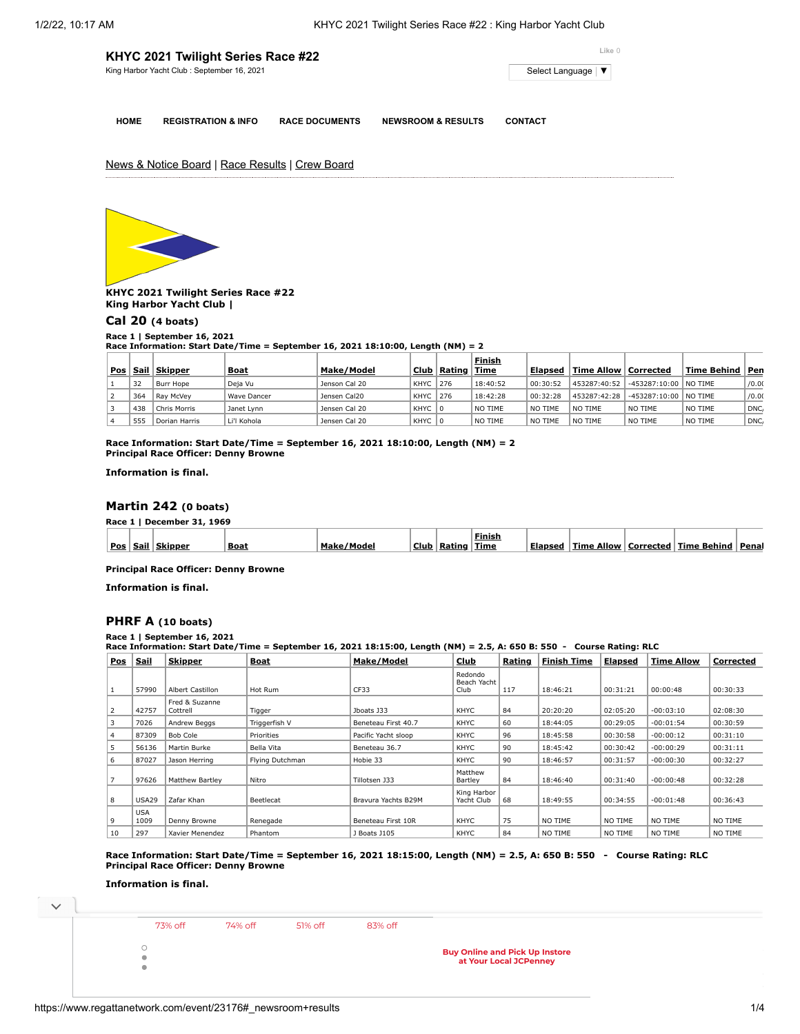| KHYC 2021 Twilight Series Race #22         | Like 0              |
|--------------------------------------------|---------------------|
| King Harbor Yacht Club: September 16, 2021 | Select Language   ▼ |
|                                            |                     |

**HOME REGISTRATION & INFO RACE DOCUMENTS NEWSROOM & RESULTS CONTACT**

News & Notice Board | Race Results | Crew Board



**KHYC 2021 Twilight Series Race #22 King Harbor Yacht Club |**

# **[Cal 20](https://www.regattanetwork.com/clubmgmt/applet_race_scores_khyc.php?regatta_id=23176&race_num=1) (4 boats)**

## **Race 1 | September 16, 2021**

**Race Information: Start Date/Time = September 16, 2021 18:10:00, Length (NM) = 2**

|     |      |                  |             |               |          |               | <b>Finish</b> |          |                        |                         |                   |       |
|-----|------|------------------|-------------|---------------|----------|---------------|---------------|----------|------------------------|-------------------------|-------------------|-------|
| Pos | Sail | <u>  Skipper</u> | <b>Boat</b> | Make/Model    |          | Club   Rating | Time          | Elapsed  | Time Allow   Corrected |                         | Time Behind   Pen |       |
|     | 32   | Burr Hope        | Deja Vu     | Jenson Cal 20 | KHYC 276 |               | 18:40:52      | 00:30:52 | 453287:40:52           | $-453287:10:00$ NO TIME |                   | /0.00 |
|     | 364  | Rav McVev        | Wave Dancer | Jensen Cal20  | KHYC     | 276           | 18:42:28      | 00:32:28 | 453287:42:28           | -453287:10:00   NO TIME |                   | /0.00 |
|     | 438  | Chris Morris     | Janet Lynn  | Jensen Cal 20 | KHYC 0   |               | NO TIME       | NO TIME  | NO TIME                | NO TIME                 | NO TIME           | DNC,  |
|     | 555  | Dorian Harris    | Li'l Kohola | Jensen Cal 20 | KHYC 0   |               | NO TIME       | NO TIME  | NO TIME                | NO TIME                 | NO TIME           | DNC,  |

**Race Information: Start Date/Time = September 16, 2021 18:10:00, Length (NM) = 2 Principal Race Officer: Denny Browne**

**Information is final.**

## **[Martin 242](https://www.regattanetwork.com/clubmgmt/applet_race_scores_khyc.php?regatta_id=23176&race_num=1) (0 boats)**

**Race 1 | December 31, 1969**

|     |      |                |             |                         |      |        | Finisi      |         |               |           |                |       |
|-----|------|----------------|-------------|-------------------------|------|--------|-------------|---------|---------------|-----------|----------------|-------|
| Pos | Sail | <b>Skipper</b> | <b>Boat</b> | ≛Мa.<br>s lees<br>'Mode | Club | Rating | $-$<br>Time | Elapsed | Allow<br>Time | Corrected | Behino<br>Time | Pena. |
|     |      |                |             |                         |      |        |             |         |               |           |                |       |

**Principal Race Officer: Denny Browne**

**Information is final.**

## **[PHRF A](https://www.regattanetwork.com/clubmgmt/applet_race_scores_khyc.php?regatta_id=23176&race_num=1) (10 boats)**

**Race Information: Start Date/Time = September 16, 2021 18:15:00, Length (NM) = 2.5, A: 650 B: 550 - Course Rating: RLC**

| <u>Pos</u> | <u>  Sail</u>      | <b>Skipper</b>             | <b>Boat</b>     | Make/Model          | Club                           | Rating | <b>Finish Time</b> | Elapsed  | <b>Time Allow</b> | Corrected |
|------------|--------------------|----------------------------|-----------------|---------------------|--------------------------------|--------|--------------------|----------|-------------------|-----------|
|            | 57990              | Albert Castillon           | Hot Rum         | CF33                | Redondo<br>Beach Yacht<br>Club | 117    | 18:46:21           | 00:31:21 | 00:00:48          | 00:30:33  |
|            | 42757              | Fred & Suzanne<br>Cottrell | Tigger          | Jboats J33          | KHYC                           | 84     | 20:20:20           | 02:05:20 | $-00:03:10$       | 02:08:30  |
|            | 7026               | Andrew Beggs               | Triggerfish V   | Beneteau First 40.7 | KHYC                           | 60     | 18:44:05           | 00:29:05 | $-00:01:54$       | 00:30:59  |
|            | 87309              | Bob Cole                   | Priorities      | Pacific Yacht sloop | KHYC                           | 96     | 18:45:58           | 00:30:58 | $-00:00:12$       | 00:31:10  |
| 5          | 56136              | Martin Burke               | Bella Vita      | Beneteau 36.7       | KHYC                           | 90     | 18:45:42           | 00:30:42 | $-00:00:29$       | 00:31:11  |
| 6          | 87027              | Jason Herring              | Flying Dutchman | Hobie 33            | KHYC                           | 90     | 18:46:57           | 00:31:57 | $-00:00:30$       | 00:32:27  |
|            | 97626              | Matthew Bartley            | Nitro           | Tillotsen J33       | Matthew<br>Bartley             | 84     | 18:46:40           | 00:31:40 | $-00:00:48$       | 00:32:28  |
| 8          | <b>USA29</b>       | Zafar Khan                 | Beetlecat       | Bravura Yachts B29M | King Harbor<br>Yacht Club      | 68     | 18:49:55           | 00:34:55 | $-00:01:48$       | 00:36:43  |
| 9          | <b>USA</b><br>1009 | Denny Browne               | Renegade        | Beneteau First 10R  | KHYC                           | 75     | NO TIME            | NO TIME  | NO TIME           | NO TIME   |
| 10         | 297                | Xavier Menendez            | Phantom         | J Boats J105        | KHYC                           | 84     | NO TIME            | NO TIME  | NO TIME           | NO TIME   |

**Race Information: Start Date/Time = September 16, 2021 18:15:00, Length (NM) = 2.5, A: 650 B: 550 - Course Rating: RLC Principal Race Officer: Denny Browne**

**Information is final.**

 $\bullet$ 

**73% off** 

73% off 74% off 51% off 83% off

**Race Information: Start D[ate/Time = Sept](https://cat.da.us.criteo.com/m/delivery/ck.php?cppv=3&cpp=Z94mkTDAoQabBLXx37mBdwsyGc4age7revU1UHzNfp6DU2BMNZy2iwat1cfvO_eS_e913tVknqyImTbFzjJgafmU4Ine9O9tBAL97sOka7zQ_aNo386YbstTXj1Ki6YrunxUUH5N5QBG02LTyx2V4cAonx3RLKuMTzVRh0Mtjl4H8fl18BNuBrE8u3TXTayh7oi0Tr-_imXw53vB9GBP2S6VbKJj1zTqzb_m4heL-jcbMoe7j9nQW06pdzVOeksqHoUgzsFje-GBKM7mjLvH6MQkPsBG3nwp1x6a9nh7j8dUAkEyn_z8-qyi4MlEfH8R5c-IY4Gylh5wuG4mVS5W4FO5k_72FL8FxwO9NgCy2rwQUQeD1Z1RpTlAO6joUg6tzuhfe7wgvIAbcLXPuGut4fYU9ShiIDzz-3kvggitvIzxPW79I8n0wwKvOmRjMJpyFDZcVVqs5aQUOECuNOuJ7zIzzvM-ETx9FvT1ORfJTdLZbzIOSlJLcVtI8b3Ttem7ituWCg&maxdest=https%3A%2F%2Fwww.jcpenney.com%2Fp%2Fchristian-van-sant-mens-rose-goldtone-stainless-steel-bracelet-watch-cv4322%2Fppr5007908898%3FpTmplType%3Dregular%26utm_source%3Dcriteo%26utm_medium%3Ddisplay%26utm_campaign%3Dlocalrepeatlapsed%26utm_content%3Dexd%28%22cat%22%29%26cid%3Ddisplay%7Ccriteo%7Cexd%28%22cat%22%29%7Clocalrepeatlapsed)[ember 16, 2021](https://cat.da.us.criteo.com/m/delivery/ck.php?cppv=3&cpp=R51NWTDAoQabBLXx37mBdwsyGc4age7revU1UHzNfp6DU2BMNZy2iwat1cfvO_eS_e913tVknqyImTbFzjJgafmU4Ine9O9tBAL97sOka7zQ_aNo386YbstTXj1Ki6YrunxUUH5N5QBG02LTyx2V4cAonx1qbvJ6p1y8Y-T66ShCSm_oqqgqEPSqJZq63OuaosRQhYk1AWEV1h0-8nhrBUWBgbzk3nrjFlBgKb85PCZmTxxKJAw83GEIGJXjzO9tnj547YjPA2VIkazMeYM68tfQdp9CL-hgMOh8B9b4nTRSAThKIM-A-eNO8b77Z6QkuKUSHIPEdcbdGgEC_1Z2KPF7sXN8NlBZbglRU3n8T7WeuR_253uuE1AkIua-mzpO9xV2IFh8xIFPYFgmKlBkzq5xax5V7dOaZvOZJCsIm4BncTTLNE_1UaDPPkEUBVCw35KR5xc3ASxk89qN_sWjgs82cIpfTKCkSonuw2gg-ayD8a9V5rXNHnwyfiSAVejKjGNXgQ&maxdest=https%3A%2F%2Fwww.jcpenney.com%2Fp%2F35mm-2-ct-tw-genuine-white-diamond-14k-white-gold-round-wedding-band%2Fppr5007655818%3FpTmplType%3Dregular%26utm_source%3Dcriteo%26utm_medium%3Ddisplay%26utm_campaign%3Dlocalrepeatlapsed%26utm_content%3Dexd%28%22cat%22%29%26cid%3Ddisplay%7Ccriteo%7Cexd%28%22cat%22%29%7Clocalrepeatlapsed) [18:05:00, Leng](https://cat.da.us.criteo.com/m/delivery/ck.php?cppv=3&cpp=Z6OEAzDAoQabBLXx37mBdwsyGc4age7revU1UHzNfp6DU2BMNZy2iwat1cfvO_eS_e913tVknqyImTbFzjJgafmU4Ine9O9tBAL97sOka7zQ_aNo386YbstTXj1Ki6YrunxUUH5N5QBG02LTyx2V4cAonx1b2mG7Vs-SoWAZ02UvH0788Cp2Q0aPYcQW_AFr7D7EnwuRw_-VymRMsfdTTiBWnPPeRDnsK8kECEUoBzYspfk8MWvLc1MXv7msZUg3alYIA8q4uPPl24wjmZMmtki8hMCuD5xgEDiCMTue9uZcLFwrva8b8ZtOACiAR9g_WIIUatCvVp3QYbwTAeN-vdFCQ7aYdYkA46crWBZJnzrLDygygUlc_O_BTkuIO6cudFDw5IjWmLHTzgrVWGHS9cPgjC3M_0VbWVZrPjMx0HhHS8Reo4CEwc799Tq4NwlRGBePO_8h9lB32m4RaLCBTDq1PncuupngT0POwrKQfTsYGDj4sdURVEB-_5RfiCC5nwS8FQ&maxdest=https%3A%2F%2Fwww.jcpenney.com%2Fp%2F1-2-ct-tw-genuine-white-diamond-10k-gold-3-stone-band%2Fppr5007798827%3FpTmplType%3Dregular%26utm_source%3Dcriteo%26utm_medium%3Ddisplay%26utm_campaign%3Dlocalrepeatlapsed%26utm_content%3Dexd%28%22cat%22%29%26cid%3Ddisplay%7Ccriteo%7Cexd%28%22cat%22%29%7Clocalrepeatlapsed)[th \(NM\) = 2 - Course Rating: RLC](https://cat.da.us.criteo.com/m/delivery/ck.php?cppv=3&cpp=4QPtgzDAoQabBLXx37mBdwsyGc4age7revU1UHzNfp6DU2BMNZy2iwat1cfvO_eS_e913tVknqyImTbFzjJgafmU4Ine9O9tBAL97sOka7zQ_aNo386YbstTXj1Ki6YrunxUUH5N5QBG02LTyx2V4cAonx1IJj8U7ghDxQkjLnxKutRlafYctFzcm00kvA2AC3OGfdc43exJ9AoR7Sjr-uBYrocByD6P7pT56E0yfeFL8k4JQTghEBuvUdKHF83S7saMSSAdaCompfuzTg7z5fayaqbtwwohdE8ZI6PeDv2dRM0LMD0zeZe-cnAg8EP2y0hzN759yWnHC-Wo7Yw5tIzh61uUOpvwnuskneMjD00nSBUUB6QwheBOMSykweKilmWUcT0ofnaay2hYMLiPVkiD1-mmRUmihnymBVD6OEtZbTtneIiJdxHnQmT6A48tuQOOS4QDiONsOZcgjIeOmgk2ySI&maxdest=https%3A%2F%2Fwww.jcpenney.com%3Futm_source%3Dcriteo%26utm_medium%3Ddisplay%26utm_campaign%3Dlocalrepeatlapsed%26utm_content%3Dlogo%26cid%3Ddisplay%7Ccriteo%7Clogo%7Clocalrepeatlapsed) Buy Online and Pick Up Instore Pos Sail Skipper Boat Make/Model Club Rating Finish at Your Local JCPenney Time Elapsed Time Allow Corrected Time Behind**

**Race 1 | September 16, 2021**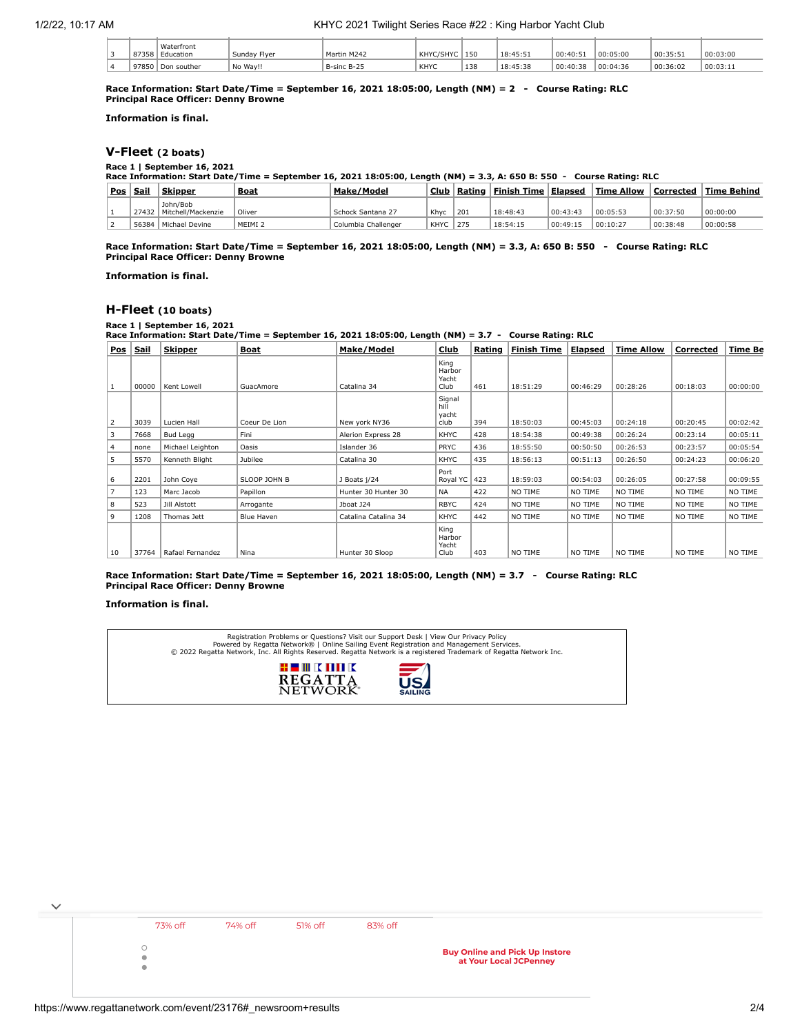## 1/2/22, 10:17 AM KHYC 2021 Twilight Series Race #22 : King Harbor Yacht Club

|  | 87358 | Waterfront<br>Education | Sunday Flver | Martin M242 | KHYC/SHYC | 150 | 18:45:51 | 00:40:5  | 00:05:00 | 00:35:51 | 00:03:00  |
|--|-------|-------------------------|--------------|-------------|-----------|-----|----------|----------|----------|----------|-----------|
|  | 97850 | Don souther             | No Wav!!     | B-sinc B-25 | KHYC      | 138 | 18:45:38 | 00:40:38 | 00:04:36 | 00:36:02 | '00:03:11 |

**Race Information: Start Date/Time = September 16, 2021 18:05:00, Length (NM) = 2 - Course Rating: RLC Principal Race Officer: Denny Browne**

**Information is final.**

## **[V-Fleet](https://www.regattanetwork.com/clubmgmt/applet_race_scores_khyc.php?regatta_id=23176&race_num=1) (2 boats)**

#### **Race 1 | September 16, 2021**

**Race Information: Start Date/Time = September 16, 2021 18:05:00, Length (NM) = 3.3, A: 650 B: 550 - Course Rating: RLC**

| Pos | <u>Sail</u> | <b>Skipper</b>                 | <b>Boat</b>        | Make/Model          | Club | Rating | <b>Finish Time</b> | Elapsed  | Time Allow |          | Corrected   Time Behind |
|-----|-------------|--------------------------------|--------------------|---------------------|------|--------|--------------------|----------|------------|----------|-------------------------|
|     | 27432       | John/Bob<br>Mitchell/Mackenzie | Oliver             | Schock Santana 27   | Khyc | 201    | 18:48:43           | 00:43:43 | 00:05:53   | 00:37:50 | 00:00:00                |
|     | 56384       | Michael Devine                 | MEIMI <sub>2</sub> | Columbia Challenger | KHYC | 1275   | 18:54:15           | 00:49:15 | 00:10:27   | 00:38:48 | 00:00:58                |

**Race Information: Start Date/Time = September 16, 2021 18:05:00, Length (NM) = 3.3, A: 650 B: 550 - Course Rating: RLC Principal Race Officer: Denny Browne**

**Information is final.**

## **[H-Fleet](https://www.regattanetwork.com/clubmgmt/applet_race_scores_khyc.php?regatta_id=23176&race_num=1) (10 boats)**

**Race 1 | September 16, 2021**

**Race Information: Start Date/Time = September 16, 2021 18:05:00, Length (NM) = 3.7 - Course Rating: RLC**

| <b>Pos</b>     | <u>Sail</u> | <b>Skipper</b>   | <b>Boat</b>   | Make/Model           | Club                            | Rating | Finish Time | Elapsed  | <b>Time Allow</b> | Corrected | Time Be  |
|----------------|-------------|------------------|---------------|----------------------|---------------------------------|--------|-------------|----------|-------------------|-----------|----------|
|                | 00000       | Kent Lowell      | GuacAmore     | Catalina 34          | King<br>Harbor<br>Yacht<br>Club | 461    | 18:51:29    | 00:46:29 | 00:28:26          | 00:18:03  | 00:00:00 |
| $\overline{2}$ | 3039        | Lucien Hall      | Coeur De Lion | New york NY36        | Signal<br>hill<br>yacht<br>club | 394    | 18:50:03    | 00:45:03 | 00:24:18          | 00:20:45  | 00:02:42 |
| 3              | 7668        | <b>Bud Legg</b>  | Fini          | Alerion Express 28   | KHYC                            | 428    | 18:54:38    | 00:49:38 | 00:26:24          | 00:23:14  | 00:05:11 |
| 4              | none        | Michael Leighton | Oasis         | Islander 36          | <b>PRYC</b>                     | 436    | 18:55:50    | 00:50:50 | 00:26:53          | 00:23:57  | 00:05:54 |
| 5              | 5570        | Kenneth Blight   | Jubilee       | Catalina 30          | KHYC                            | 435    | 18:56:13    | 00:51:13 | 00:26:50          | 00:24:23  | 00:06:20 |
| 6              | 2201        | John Coye        | SLOOP JOHN B  | J Boats j/24         | Port<br>Royal YC                | 423    | 18:59:03    | 00:54:03 | 00:26:05          | 00:27:58  | 00:09:55 |
| $\overline{7}$ | 123         | Marc Jacob       | Papillon      | Hunter 30 Hunter 30  | <b>NA</b>                       | 422    | NO TIME     | NO TIME  | NO TIME           | NO TIME   | NO TIME  |
| 8              | 523         | Jill Alstott     | Arrogante     | Jboat J24            | <b>RBYC</b>                     | 424    | NO TIME     | NO TIME  | NO TIME           | NO TIME   | NO TIME  |
| 9              | 1208        | Thomas Jett      | Blue Haven    | Catalina Catalina 34 | KHYC                            | 442    | NO TIME     | NO TIME  | NO TIME           | NO TIME   | NO TIME  |
| 10             | 37764       | Rafael Fernandez | Nina          | Hunter 30 Sloop      | King<br>Harbor<br>Yacht<br>Club | 403    | NO TIME     | NO TIME  | NO TIME           | NO TIME   | NO TIME  |

**Race Information: Start Date/Time = September 16, 2021 18:05:00, Length (NM) = 3.7 - Course Rating: RLC Principal Race Officer: Denny Browne**

#### **Information is final.**



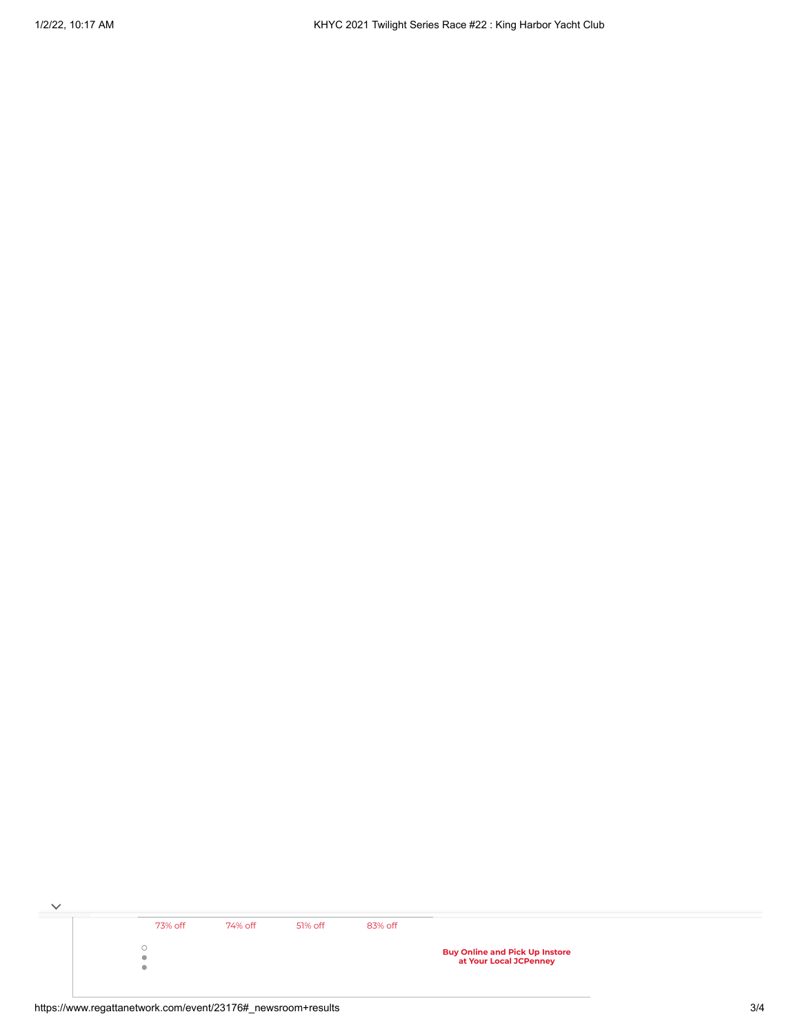